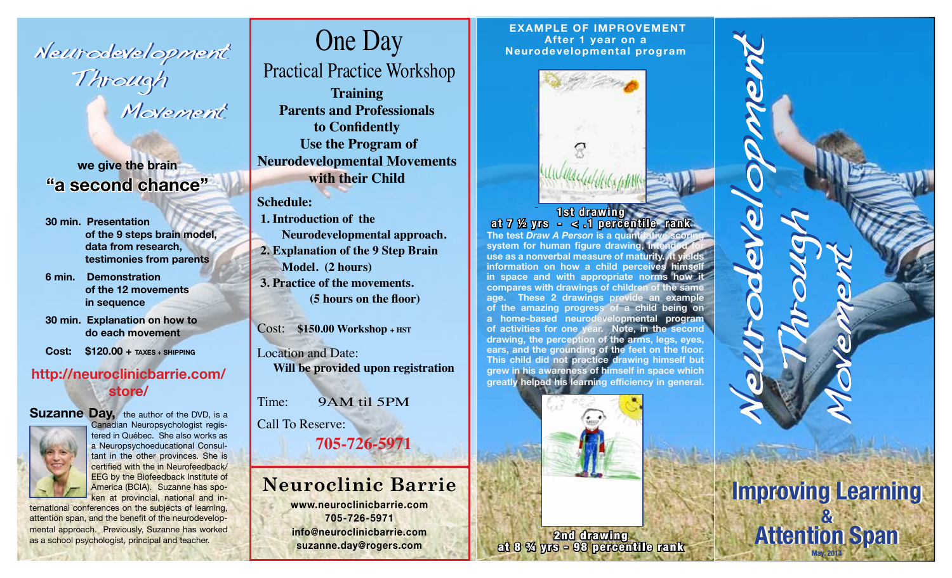Neurodevelopment Neurodevelopment Neurodevelopment Through Through Through Movement Movement Movement

**we give the brain "a second chance"**

**30 min. Presentation of the 9 steps brain model, data from research, testimonies from parents**

**6 min. Demonstration of the 12 movements in sequence**

**30 min. Explanation on how to do each movement**

**Cost: \$120.00 + TAXES + SHIPPING**

## **http://neuroclinicbarrie.com/ store/**



**Suzanne Day,** the author of the DVD, is a Canadian Neuropsychologist registered in Québec. She also works as a Neuropsychoeducational Consultant in the other provinces. She is certified with the in Neurofeedback/ EEG by the Biofeedback Institute of America (BCIA). Suzanne has spoken at provincial, national and in-

ternational conferences on the subjects of learning, attention span, and the benefit of the neurodevelopmental approach. Previously, Suzanne has worked as a school psychologist, principal and teacher.

# One Day

**Training**  Practical Practice Workshop

**Parents and Professionals**  to Confidently  **Use the Program of Neurodevelopmental Movements with their Child**

**Schedule:** 

 **1. Introduction of the Neurodevelopmental approach. 2. Explanation of the 9 Step Brain Model. (2 hours) 3. Practice of the movements.**  (5 hours on the floor)

Cost: **\$150.00 Workshop + HST**

Location and Date: **Will be provided upon registration**

Time: 9AM til 5PM

Call To Reserve: **705-726-5971**

## **Neuroclinic Barrie**

**www.neuroclinicbarrie.com 705-726-5971 info@neuroclinicbarrie.com suzanne.day@rogers.com** 

 **EXAMPLE OF IMPROVEMENT After 1 year on a Neurodevelopmental program**



**1st drawing at 7 ½ yrs - < .1 percentile rank The test** *Draw A Person* **is a quantitative scoring**  system for human figure drawing, intended for **use as a nonverbal measure of maturity. It yields information on how a child perceives himsel in space and with appropriate norms how it compares with drawings of children of the same age. These 2 drawings provide an example of the amazing progress of a child being on a home-based neurodevelopmental program of activities for one year. Note, in the second drawing, the perception of the arms, legs, eyes,**  ears, and the grounding of the feet on the floor. **This child did not practice drawing himself but grew in his awareness of himself in space which**  greatly helped his learning efficiency in general.

Through

Movement

**Improving Learning Improving Learning** 

**&** 

**&** 

**Attention Span**

**Attention Span May. 2014**

Neurodevelopment Neurodevelopment



2nd drawing at 8 ¾ yrs - 98 percentile rank